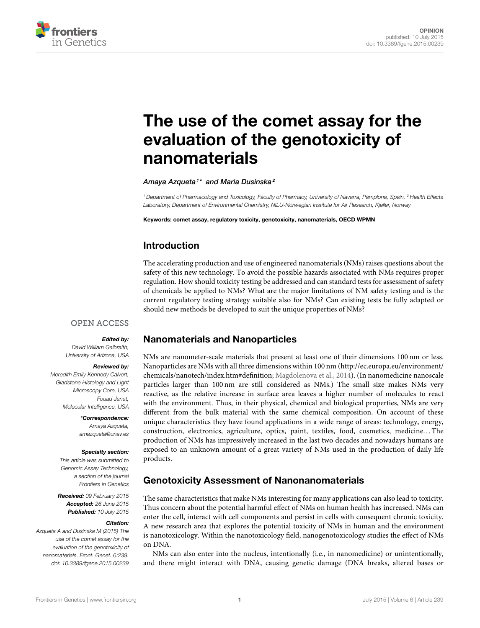

# [The use of the comet assay for the](http://journal.frontiersin.org/article/10.3389/fgene.2015.00239/full) evaluation of the genotoxicity of nanomaterials

[Amaya Azqueta](http://loop.frontiersin.org/people/97384/overview)<sup>1\*</sup> and [Maria Dusinska](http://loop.frontiersin.org/people/110414/overview)<sup>2</sup>

*<sup>1</sup> Department of Pharmacology and Toxicology, Faculty of Pharmacy, University of Navarra, Pamplona, Spain, <sup>2</sup> Health Effects Laboratory, Department of Environmental Chemistry, NILU-Norwegian Institute for Air Research, Kjeller, Norway*

Keywords: comet assay, regulatory toxicity, genotoxicity, nanomaterials, OECD WPMN

# Introduction

The accelerating production and use of engineered nanomaterials (NMs) raises questions about the safety of this new technology. To avoid the possible hazards associated with NMs requires proper regulation. How should toxicity testing be addressed and can standard tests for assessment of safety of chemicals be applied to NMs? What are the major limitations of NM safety testing and is the current regulatory testing strategy suitable also for NMs? Can existing tests be fully adapted or should new methods be developed to suit the unique properties of NMs?

#### **OPEN ACCESS**

#### Edited by:

*David William Galbraith, University of Arizona, USA*

#### Reviewed by:

*Meredith Emily Kennedy Calvert, Gladstone Histology and Light Microscopy Core, USA Fouad Janat, Molecular Intelligence, USA*

> \*Correspondence: *Amaya Azqueta, [amazqueta@unav.es](mailto:amazqueta@unav.es)*

#### Specialty section:

*This article was submitted to Genomic Assay Technology, a section of the journal Frontiers in Genetics*

Received: *09 February 2015* Accepted: *26 June 2015* Published: *10 July 2015*

#### Citation:

*Azqueta A and Dusinska M (2015) The use of the comet assay for the evaluation of the genotoxicity of nanomaterials. Front. Genet. 6:239. doi: [10.3389/fgene.2015.00239](http://dx.doi.org/10.3389/fgene.2015.00239)*

## Nanomaterials and Nanoparticles

NMs are nanometer-scale materials that present at least one of their dimensions 100 nm or less. Nanoparticles are NMs with all three dimensions within 100 nm [\(http://ec.europa.eu/environment/](http://ec.europa.eu/environment/chemicals/nanotech/index.htm#definition) [chemicals/nanotech/index.htm#definition;](http://ec.europa.eu/environment/chemicals/nanotech/index.htm#definition) [Magdolenova et al., 2014\)](#page-3-0). (In nanomedicine nanoscale particles larger than 100 nm are still considered as NMs.) The small size makes NMs very reactive, as the relative increase in surface area leaves a higher number of molecules to react with the environment. Thus, in their physical, chemical and biological properties, NMs are very different from the bulk material with the same chemical composition. On account of these unique characteristics they have found applications in a wide range of areas: technology, energy, construction, electronics, agriculture, optics, paint, textiles, food, cosmetics, medicine. . . The production of NMs has impressively increased in the last two decades and nowadays humans are exposed to an unknown amount of a great variety of NMs used in the production of daily life products.

## Genotoxicity Assessment of Nanonanomaterials

The same characteristics that make NMs interesting for many applications can also lead to toxicity. Thus concern about the potential harmful effect of NMs on human health has increased. NMs can enter the cell, interact with cell components and persist in cells with consequent chronic toxicity. A new research area that explores the potential toxicity of NMs in human and the environment is nanotoxicology. Within the nanotoxicology field, nanogenotoxicology studies the effect of NMs on DNA.

NMs can also enter into the nucleus, intentionally (i.e., in nanomedicine) or unintentionally, and there might interact with DNA, causing genetic damage (DNA breaks, altered bases or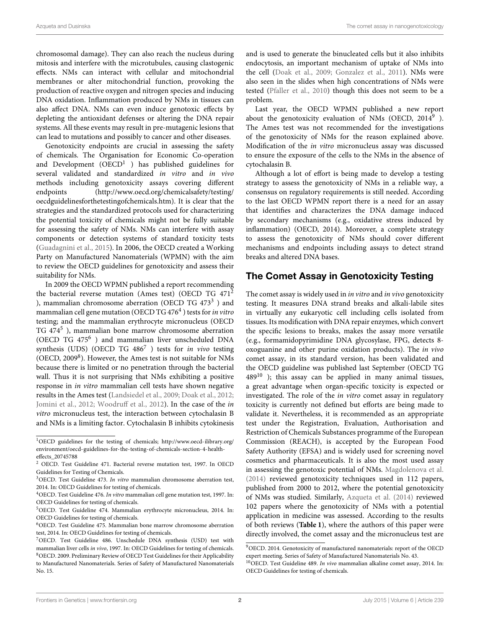chromosomal damage). They can also reach the nucleus during mitosis and interfere with the microtubules, causing clastogenic effects. NMs can interact with cellular and mitochondrial membranes or alter mitochondrial function, provoking the production of reactive oxygen and nitrogen species and inducing DNA oxidation. Inflammation produced by NMs in tissues can also affect DNA. NMs can even induce genotoxic effects by depleting the antioxidant defenses or altering the DNA repair systems. All these events may result in pre-mutagenic lesions that can lead to mutations and possibly to cancer and other diseases.

Genotoxicity endpoints are crucial in assessing the safety of chemicals. The Organisation for Economic Co-operation and Development ( $\text{OECD}^{1}$  $\text{OECD}^{1}$  $\text{OECD}^{1}$  ) has published guidelines for several validated and standardized in vitro and in vivo methods including genotoxicity assays covering different endpoints [\(http://www.oecd.org/chemicalsafety/testing/](http://www.oecd.org/chemicalsafety/testing/oecdguidelinesforthetestingofchemicals.htm) [oecdguidelinesforthetestingofchemicals.htm\)](http://www.oecd.org/chemicalsafety/testing/oecdguidelinesforthetestingofchemicals.htm). It is clear that the strategies and the standardized protocols used for characterizing the potential toxicity of chemicals might not be fully suitable for assessing the safety of NMs. NMs can interfere with assay components or detection systems of standard toxicity tests [\(Guadagnini et al., 2015\)](#page-3-1). In 2006, the OECD created a Working Party on Manufactured Nanomaterials (WPMN) with the aim to review the OECD guidelines for genotoxicity and assess their suitability for NMs.

In 2009 the OECD WPMN published a report recommending the bacterial reverse mutation (Ames test) (OECD TG  $471<sup>2</sup>$  $471<sup>2</sup>$  $471<sup>2</sup>$ ), mammalian chromosome aberration (OECD TG 47[3](#page-1-2)<sup>3</sup>) and mammalian cell gene mutation (OECD TG [4](#page-1-3)76 $^4$  ) tests for *in vitro* testing; and the mammalian erythrocyte micronucleus (OECD TG 474<sup>[5](#page-1-4)</sup>), mammalian bone marrow chromosome aberration (OECD TG 475[6](#page-1-5) ) and mammalian liver unscheduled DNA synthesis (UDS) (OECD TG 486<sup>[7](#page-1-6)</sup>) tests for in vivo testing (OECD, 2009<sup>[8](#page-1-7)</sup>). However, the Ames test is not suitable for NMs because there is limited or no penetration through the bacterial wall. Thus it is not surprising that NMs exhibiting a positive response in in vitro mammalian cell tests have shown negative results in the Ames test [\(Landsiedel et al., 2009;](#page-3-2) [Doak et al., 2012;](#page-2-0) [Jomini et al., 2012;](#page-3-3) [Woodruff et al., 2012\)](#page-3-4). In the case of the in vitro micronucleus test, the interaction between cytochalasin B and NMs is a limiting factor. Cytochalasin B inhibits cytokinesis and is used to generate the binucleated cells but it also inhibits endocytosis, an important mechanism of uptake of NMs into the cell [\(Doak et al., 2009;](#page-2-1) [Gonzalez et al., 2011\)](#page-2-2). NMs were also seen in the slides when high concentrations of NMs were tested [\(Pfaller et al., 2010\)](#page-3-5) though this does not seem to be a problem.

Last year, the OECD WPMN published a new report about the genotoxicity evaluation of NMs (OECD, 2014<sup>[9](#page-1-8)</sup>). The Ames test was not recommended for the investigations of the genotoxicity of NMs for the reason explained above. Modification of the in vitro micronucleus assay was discussed to ensure the exposure of the cells to the NMs in the absence of cytochalasin B.

Although a lot of effort is being made to develop a testing strategy to assess the genotoxicity of NMs in a reliable way, a consensus on regulatory requirements is still needed. According to the last OECD WPMN report there is a need for an assay that identifies and characterizes the DNA damage induced by secondary mechanisms (e.g., oxidative stress induced by inflammation) (OECD, 2014). Moreover, a complete strategy to assess the genotoxicity of NMs should cover different mechanisms and endpoints including assays to detect strand breaks and altered DNA bases.

# The Comet Assay in Genotoxicity Testing

The comet assay is widely used in in vitro and in vivo genotoxicity testing. It measures DNA strand breaks and alkali-labile sites in virtually any eukaryotic cell including cells isolated from tissues. Its modification with DNA repair enzymes, which convert the specific lesions to breaks, makes the assay more versatile (e.g., formamidopyrimidine DNA glycosylase, FPG, detects 8 oxoguanine and other purine oxidation products). The in vivo comet assay, in its standard version, has been validated and the OECD guideline was published last September (OECD TG  $489^{10}$  $489^{10}$  $489^{10}$ ); this assay can be applied in many animal tissues, a great advantage when organ-specific toxicity is expected or investigated. The role of the in vitro comet assay in regulatory toxicity is currently not defined but efforts are being made to validate it. Nevertheless, it is recommended as an appropriate test under the Registration, Evaluation, Authorisation and Restriction of Chemicals Substances programme of the European Commission (REACH), is accepted by the European Food Safety Authority (EFSA) and is widely used for screening novel cosmetics and pharmaceuticals. It is also the most used assay in assessing the genotoxic potential of NMs. [Magdolenova et al.](#page-3-0) [\(2014\)](#page-3-0) reviewed genotoxicity techniques used in 112 papers, published from 2000 to 2012, where the potential genotoxicity of NMs was studied. Similarly, [Azqueta et al. \(2014\)](#page-2-3) reviewed 102 papers where the genotoxicity of NMs with a potential application in medicine was assessed. According to the results of both reviews (**[Table 1](#page-2-4)**), where the authors of this paper were directly involved, the comet assay and the micronucleus test are

<span id="page-1-0"></span><sup>1</sup>OECD guidelines for the testing of chemicals; [http://www.oecd-ilibrary.org/](http://www.oecd-ilibrary.org/environment/oecd-guidelines-for-the-testing-of-chemicals-section-4-health-effects_20745788) [environment/oecd-guidelines-for-the-testing-of-chemicals-section-4-health](http://www.oecd-ilibrary.org/environment/oecd-guidelines-for-the-testing-of-chemicals-section-4-health-effects_20745788)[effects\\_20745788](http://www.oecd-ilibrary.org/environment/oecd-guidelines-for-the-testing-of-chemicals-section-4-health-effects_20745788)

<span id="page-1-1"></span><sup>2</sup> OECD. Test Guideline 471. Bacterial reverse mutation test, 1997. In OECD Guidelines for Testing of Chemicals.

<span id="page-1-2"></span><sup>3</sup>OECD. Test Guideline 473. In vitro mammalian chromosome aberration test, 2014. In: OECD Guidelines for testing of chemicals.

<span id="page-1-3"></span> $^{4}$ OECD. Test Guideline 476. In vitro mammalian cell gene mutation test, 1997. In: OECD Guidelines for testing of chemicals.

<span id="page-1-4"></span><sup>5</sup>OECD. Test Guideline 474. Mammalian erythrocyte micronucleus, 2014. In: OECD Guidelines for testing of chemicals.

<span id="page-1-5"></span><sup>6</sup>OECD. Test Guideline 475. Mammalian bone marrow chromosome aberration test, 2014. In: OECD Guidelines for testing of chemicals.

<span id="page-1-7"></span><span id="page-1-6"></span><sup>7</sup>OECD. Test Guideline 486. Unschedule DNA synthesis (USD) test with mammalian liver cells in vivo, 1997. In: OECD Guidelines for testing of chemicals. <sup>8</sup>OECD. 2009. Preliminary Review of OECD Test Guidelines for their Applicability to Manufactured Nanomaterials. Series of Safety of Manufactured Nanomaterials No. 15.

<span id="page-1-8"></span><sup>9</sup>OECD. 2014. Genotoxicity of manufactured nanomaterials: report of the OECD expert meeting. Series of Safety of Manufactured Nanomaterials No. 43.

<span id="page-1-9"></span> $10$ OECD. Test Guideline 489. In vivo mammalian alkaline comet assay, 2014. In: OECD Guidelines for testing of chemicals.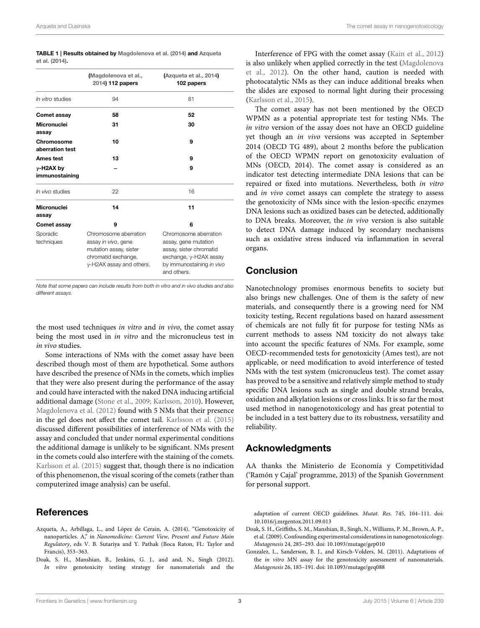<span id="page-2-4"></span>

| TABLE 1   Results obtained by Magdolenova et al. (2014) and Azqueta |  |  |
|---------------------------------------------------------------------|--|--|
| et al. (2014).                                                      |  |  |

|                                | Magdolenova et al.,<br>2014) 112 papers                                                                                           | (Azqueta et al., 2014)<br>102 papers                                                                                                                   |
|--------------------------------|-----------------------------------------------------------------------------------------------------------------------------------|--------------------------------------------------------------------------------------------------------------------------------------------------------|
| In vitro studies               | 94                                                                                                                                | 81                                                                                                                                                     |
| Comet assay                    | 58                                                                                                                                | 52                                                                                                                                                     |
| <b>Micronuclei</b><br>assay    | 31                                                                                                                                | 30                                                                                                                                                     |
| Chromosome<br>aberration test  | 10                                                                                                                                | 9                                                                                                                                                      |
| <b>Ames test</b>               | 13                                                                                                                                | 9                                                                                                                                                      |
| $y$ -H2AX by<br>immunostaining |                                                                                                                                   | 9                                                                                                                                                      |
| In vivo studies                | 22                                                                                                                                | 16                                                                                                                                                     |
| Micronuclei<br>assay           | 14                                                                                                                                | 11                                                                                                                                                     |
| Comet assay                    | 9                                                                                                                                 | 6                                                                                                                                                      |
| Sporadic<br>techniques         | Chromosome aberration<br>assay in vivo, gene<br>mutation assay, sister<br>chromatid exchange,<br>$\gamma$ -H2AX assay and others. | Chromosome aberration<br>assay, gene mutation<br>assay, sister chromatid<br>exchange, $\gamma$ -H2AX assay<br>by immunostaining in vivo<br>and others. |

*Note that some papers can include results from both in vitro and in vivo studies and also different assays.*

the most used techniques in vitro and in vivo, the comet assay being the most used in *in vitro* and the micronucleus test in in vivo studies.

Some interactions of NMs with the comet assay have been described though most of them are hypothetical. Some authors have described the presence of NMs in the comets, which implies that they were also present during the performance of the assay and could have interacted with the naked DNA inducing artificial additional damage [\(Stone et al., 2009;](#page-3-6) [Karlsson, 2010\)](#page-3-7). However, [Magdolenova et al. \(2012\)](#page-3-8) found with 5 NMs that their presence in the gel does not affect the comet tail. [Karlsson et al. \(2015\)](#page-3-9) discussed different possibilities of interference of NMs with the assay and concluded that under normal experimental conditions the additional damage is unlikely to be significant. NMs present in the comets could also interfere with the staining of the comets. [Karlsson et al. \(2015\)](#page-3-9) suggest that, though there is no indication of this phenomenon, the visual scoring of the comets (rather than computerized image analysis) can be useful.

# References

- <span id="page-2-3"></span>Azqueta, A., Arbillaga, L., and López de Cerain, A. (2014). "Genotoxicity of nanoparticles. A," in Nanomedicine: Current View, Present and Future Main Regulatory, eds V. B. Sutariya and Y. Pathak (Boca Raton, FL: Taylor and Francis), 353–363.
- <span id="page-2-0"></span>Doak, S. H., Manshian, B., Jenkins, G. J., and and, N., Singh (2012). In vitro genotoxicity testing strategy for nanomaterials and the

Interference of FPG with the comet assay [\(Kain et al., 2012\)](#page-3-10) is also unlikely when applied correctly in the test (Magdolenova et al., [2012\)](#page-3-8). On the other hand, caution is needed with photocatalytic NMs as they can induce additional breaks when the slides are exposed to normal light during their processing [\(Karlsson et al., 2015\)](#page-3-9).

The comet assay has not been mentioned by the OECD WPMN as a potential appropriate test for testing NMs. The in vitro version of the assay does not have an OECD guideline yet though an in vivo versions was accepted in September 2014 (OECD TG 489), about 2 months before the publication of the OECD WPMN report on genotoxicity evaluation of MNs (OECD, 2014). The comet assay is considered as an indicator test detecting intermediate DNA lesions that can be repaired or fixed into mutations. Nevertheless, both in vitro and in vivo comet assays can complete the strategy to assess the genotoxicity of NMs since with the lesion-specific enzymes DNA lesions such as oxidized bases can be detected, additionally to DNA breaks. Moreover, the in vivo version is also suitable to detect DNA damage induced by secondary mechanisms such as oxidative stress induced via inflammation in several organs.

## Conclusion

Nanotechnology promises enormous benefits to society but also brings new challenges. One of them is the safety of new materials, and consequently there is a growing need for NM toxicity testing, Recent regulations based on hazard assessment of chemicals are not fully fit for purpose for testing NMs as current methods to assess NM toxicity do not always take into account the specific features of NMs. For example, some OECD-recommended tests for genotoxicity (Ames test), are not applicable, or need modification to avoid interference of tested NMs with the test system (micronucleus test). The comet assay has proved to be a sensitive and relatively simple method to study specific DNA lesions such as single and double strand breaks, oxidation and alkylation lesions or cross links. It is so far the most used method in nanogenotoxicology and has great potential to be included in a test battery due to its robustness, versatility and reliability.

# Acknowledgments

AA thanks the Ministerio de Economía y Competitividad ('Ramón y Cajal' programme, 2013) of the Spanish Government for personal support.

adaptation of current OECD guidelines. Mutat. Res. 745, 104–111. doi: 10.1016/j.mrgentox.2011.09.013

- <span id="page-2-1"></span>Doak, S. H., Griffiths, S. M., Manshian, B., Singh, N., Williams, P. M., Brown, A. P., et al. (2009). Confounding experimental considerations in nanogenotoxicology. Mutagenesis 24, 285–293. doi: 10.1093/mutage/gep010
- <span id="page-2-2"></span>Gonzalez, L., Sanderson, B. J., and Kirsch-Volders, M. (2011). Adaptations of the in vitro MN assay for the genotoxicity assessment of nanomaterials. Mutagenesis 26, 185–191. doi: 10.1093/mutage/geq088